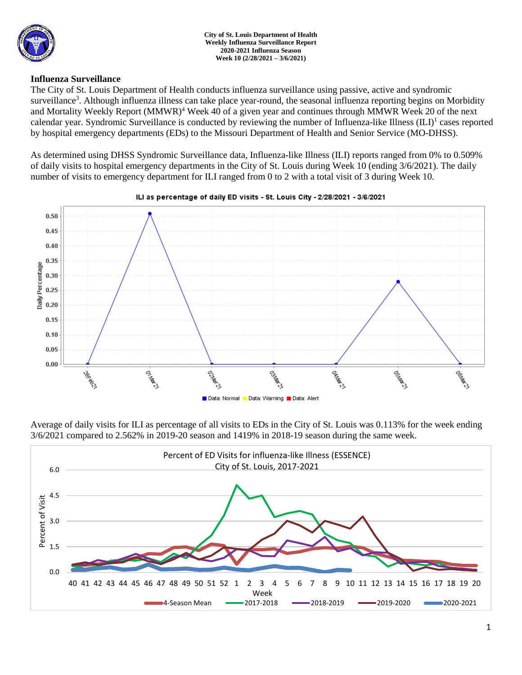

### **Influenza Surveillance**

The City of St. Louis Department of Health conducts influenza surveillance using passive, active and syndromic surveillance<sup>3</sup>. Although influenza illness can take place year-round, the seasonal influenza reporting begins on Morbidity and Mortality Weekly Report (MMWR)<sup>4</sup> Week 40 of a given year and continues through MMWR Week 20 of the next calendar year. Syndromic Surveillance is conducted by reviewing the number of Influenza-like Illness (ILI)<sup>1</sup> cases reported by hospital emergency departments (EDs) to the Missouri Department of Health and Senior Service (MO-DHSS).

As determined using DHSS Syndromic Surveillance data, Influenza-like Illness (ILI) reports ranged from 0% to 0.509% of daily visits to hospital emergency departments in the City of St. Louis during Week 10 (ending 3/6/2021). The daily number of visits to emergency department for ILI ranged from 0 to 2 with a total visit of 3 during Week 10.



ILI as percentage of daily ED visits - St. Louis City - 2/28/2021 - 3/6/2021

Average of daily visits for ILI as percentage of all visits to EDs in the City of St. Louis was 0.113% for the week ending 3/6/2021 compared to 2.562% in 2019-20 season and 1419% in 2018-19 season during the same week.

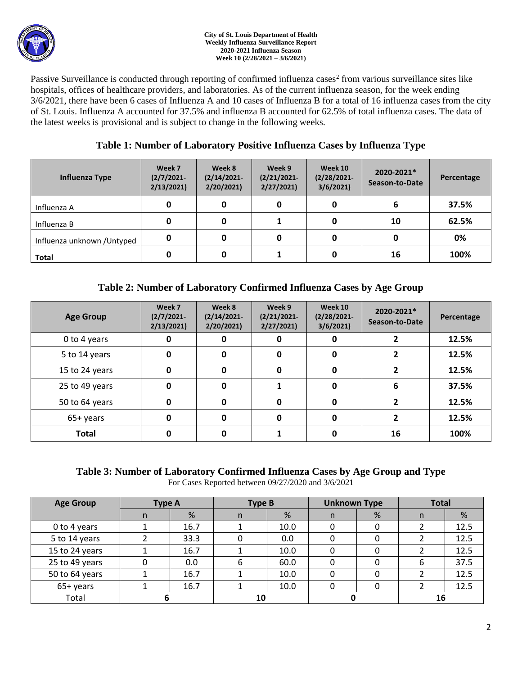

#### **City of St. Louis Department of Health Weekly Influenza Surveillance Report 2020-2021 Influenza Season Week 10 (2/28/2021 – 3/6/2021)**

Passive Surveillance is conducted through reporting of confirmed influenza cases<sup>2</sup> from various surveillance sites like hospitals, offices of healthcare providers, and laboratories. As of the current influenza season, for the week ending 3/6/2021, there have been 6 cases of Influenza A and 10 cases of Influenza B for a total of 16 influenza cases from the city of St. Louis. Influenza A accounted for 37.5% and influenza B accounted for 62.5% of total influenza cases. The data of the latest weeks is provisional and is subject to change in the following weeks.

# **Table 1: Number of Laboratory Positive Influenza Cases by Influenza Type**

| Influenza Type              | Week 7<br>$(2/7/2021 -$<br>2/13/2021 | Week 8<br>$(2/14/2021 -$<br>2/20/2021 | Week 9<br>$(2/21/2021 -$<br>2/27/2021 | Week 10<br>$(2/28/2021 -$<br>3/6/2021 | 2020-2021*<br>Season-to-Date | Percentage |
|-----------------------------|--------------------------------------|---------------------------------------|---------------------------------------|---------------------------------------|------------------------------|------------|
| Influenza A                 | 0                                    |                                       | 0                                     |                                       | ь                            | 37.5%      |
| Influenza B                 | 0                                    | O                                     |                                       |                                       | 10                           | 62.5%      |
| Influenza unknown / Untyped | 0                                    |                                       | 0                                     |                                       | 0                            | 0%         |
| <b>Total</b>                |                                      |                                       |                                       |                                       | 16                           | 100%       |

# **Table 2: Number of Laboratory Confirmed Influenza Cases by Age Group**

| <b>Age Group</b> | Week 7<br>$(2/7/2021 -$<br>2/13/2021 | Week 8<br>$(2/14/2021 -$<br>2/20/2021 | Week 9<br>$(2/21/2021 -$<br>2/27/2021 | Week 10<br>$(2/28/2021 -$<br>3/6/2021 | 2020-2021*<br>Season-to-Date | Percentage |
|------------------|--------------------------------------|---------------------------------------|---------------------------------------|---------------------------------------|------------------------------|------------|
| 0 to 4 years     | 0                                    |                                       | 0                                     |                                       |                              | 12.5%      |
| 5 to 14 years    | 0                                    | 0                                     | 0                                     | 0                                     |                              | 12.5%      |
| 15 to 24 years   | 0                                    | 0                                     | 0                                     | 0                                     |                              | 12.5%      |
| 25 to 49 years   | 0                                    | O                                     |                                       | O                                     | 6                            | 37.5%      |
| 50 to 64 years   | 0                                    | O                                     | $\mathbf 0$                           | O                                     |                              | 12.5%      |
| 65+ years        | 0                                    | O                                     | 0                                     | 0                                     |                              | 12.5%      |
| <b>Total</b>     | 0                                    |                                       |                                       |                                       | 16                           | 100%       |

### **Table 3: Number of Laboratory Confirmed Influenza Cases by Age Group and Type** For Cases Reported between 09/27/2020 and 3/6/2021

| <b>Age Group</b> | Type A |      | Type B |      | <b>Unknown Type</b> |   | <b>Total</b> |      |
|------------------|--------|------|--------|------|---------------------|---|--------------|------|
|                  | n      | %    | n      | %    | n.                  | % | n            | %    |
| 0 to 4 years     |        | 16.7 |        | 10.0 | 0                   |   |              | 12.5 |
| 5 to 14 years    |        | 33.3 |        | 0.0  | O                   |   |              | 12.5 |
| 15 to 24 years   |        | 16.7 |        | 10.0 |                     |   |              | 12.5 |
| 25 to 49 years   |        | 0.0  | 6      | 60.0 |                     |   | 6            | 37.5 |
| 50 to 64 years   |        | 16.7 |        | 10.0 | 0                   |   |              | 12.5 |
| 65+ years        |        | 16.7 |        | 10.0 | 0                   |   |              | 12.5 |
| Total            |        |      | 10     |      |                     |   | 16           |      |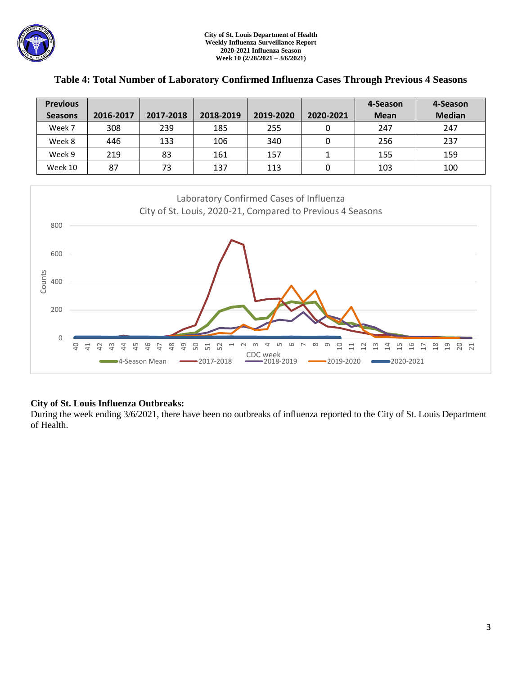

| <b>Previous</b> |           |           |           |           |           | 4-Season    | 4-Season      |
|-----------------|-----------|-----------|-----------|-----------|-----------|-------------|---------------|
| <b>Seasons</b>  | 2016-2017 | 2017-2018 | 2018-2019 | 2019-2020 | 2020-2021 | <b>Mean</b> | <b>Median</b> |
| Week 7          | 308       | 239       | 185       | 255       |           | 247         | 247           |
| Week 8          | 446       | 133       | 106       | 340       |           | 256         | 237           |
| Week 9          | 219       | 83        | 161       | 157       |           | 155         | 159           |
| Week 10         | 87        | 73        | 137       | 113       | 0         | 103         | 100           |

### **Table 4: Total Number of Laboratory Confirmed Influenza Cases Through Previous 4 Seasons**



## **City of St. Louis Influenza Outbreaks:**

During the week ending 3/6/2021, there have been no outbreaks of influenza reported to the City of St. Louis Department of Health.